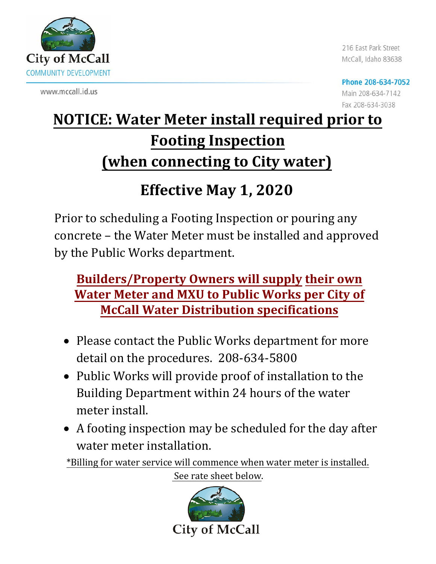

www.mccall.id.us

216 East Park Street McCall, Idaho 83638

Phone 208-634-7052 Main 208-634-7142 Fax 208-634-3038

## **NOTICE: Water Meter install required prior to Footing Inspection (when connecting to City water)**

## **Effective May 1, 2020**

Prior to scheduling a Footing Inspection or pouring any concrete – the Water Meter must be installed and approved by the Public Works department.

## **Builders/Property Owners will supply their own Water Meter and MXU to Public Works per City of McCall Water Distribution specifications**

- Please contact the Public Works department for more detail on the procedures. 208-634-5800
- Public Works will provide proof of installation to the Building Department within 24 hours of the water meter install.
- A footing inspection may be scheduled for the day after water meter installation.

\*Billing for water service will commence when water meter is installed.

See rate sheet below.